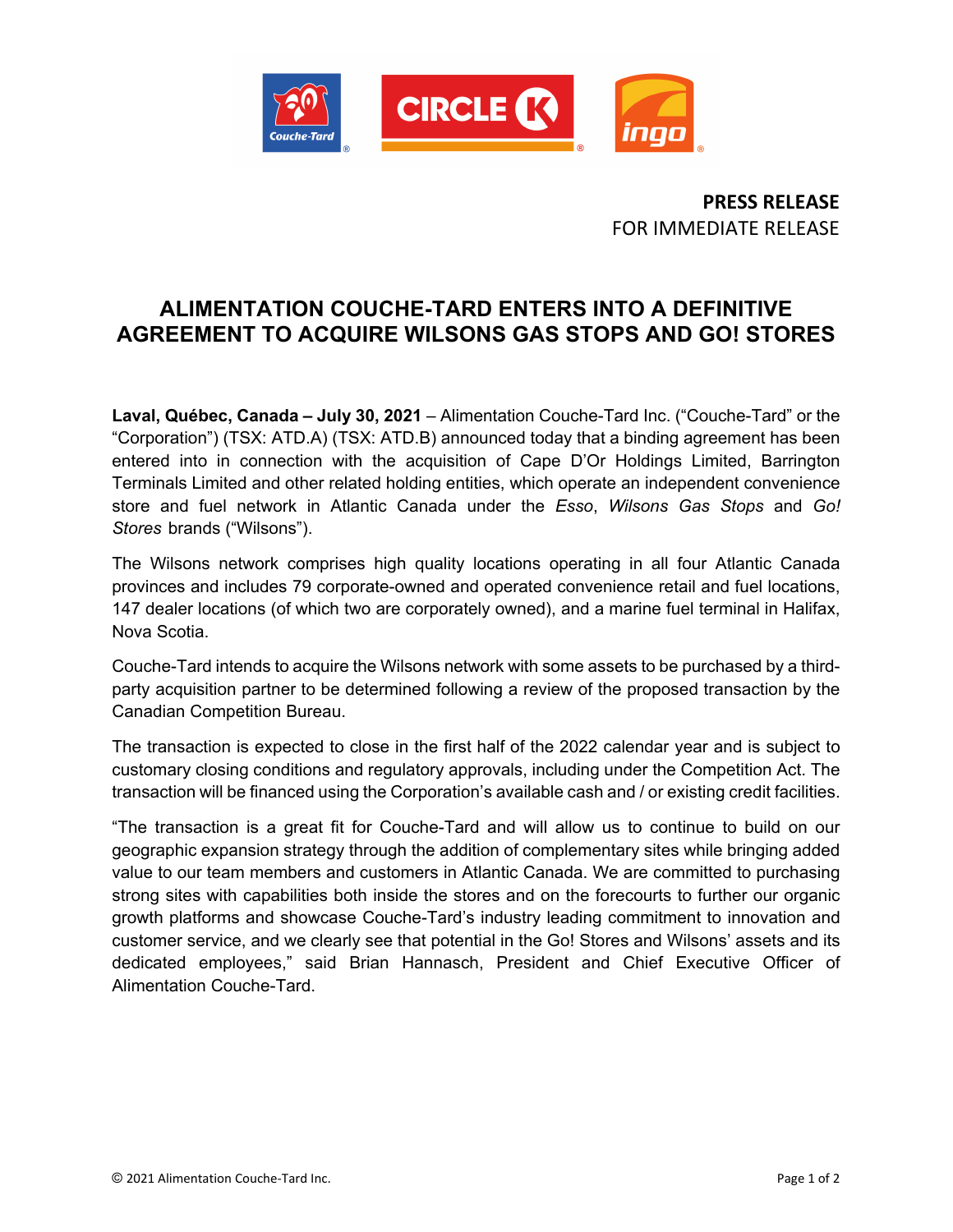

**PRESS RELEASE** FOR IMMEDIATE RELEASE

## **ALIMENTATION COUCHE-TARD ENTERS INTO A DEFINITIVE AGREEMENT TO ACQUIRE WILSONS GAS STOPS AND GO! STORES**

**Laval, Québec, Canada – July 30, 2021** – Alimentation Couche-Tard Inc. ("Couche-Tard" or the "Corporation") (TSX: ATD.A) (TSX: ATD.B) announced today that a binding agreement has been entered into in connection with the acquisition of Cape D'Or Holdings Limited, Barrington Terminals Limited and other related holding entities, which operate an independent convenience store and fuel network in Atlantic Canada under the *Esso*, *Wilsons Gas Stops* and *Go! Stores* brands ("Wilsons").

The Wilsons network comprises high quality locations operating in all four Atlantic Canada provinces and includes 79 corporate-owned and operated convenience retail and fuel locations, 147 dealer locations (of which two are corporately owned), and a marine fuel terminal in Halifax, Nova Scotia.

Couche-Tard intends to acquire the Wilsons network with some assets to be purchased by a thirdparty acquisition partner to be determined following a review of the proposed transaction by the Canadian Competition Bureau.

The transaction is expected to close in the first half of the 2022 calendar year and is subject to customary closing conditions and regulatory approvals, including under the Competition Act. The transaction will be financed using the Corporation's available cash and / or existing credit facilities.

"The transaction is a great fit for Couche-Tard and will allow us to continue to build on our geographic expansion strategy through the addition of complementary sites while bringing added value to our team members and customers in Atlantic Canada. We are committed to purchasing strong sites with capabilities both inside the stores and on the forecourts to further our organic growth platforms and showcase Couche-Tard's industry leading commitment to innovation and customer service, and we clearly see that potential in the Go! Stores and Wilsons' assets and its dedicated employees," said Brian Hannasch, President and Chief Executive Officer of Alimentation Couche-Tard.